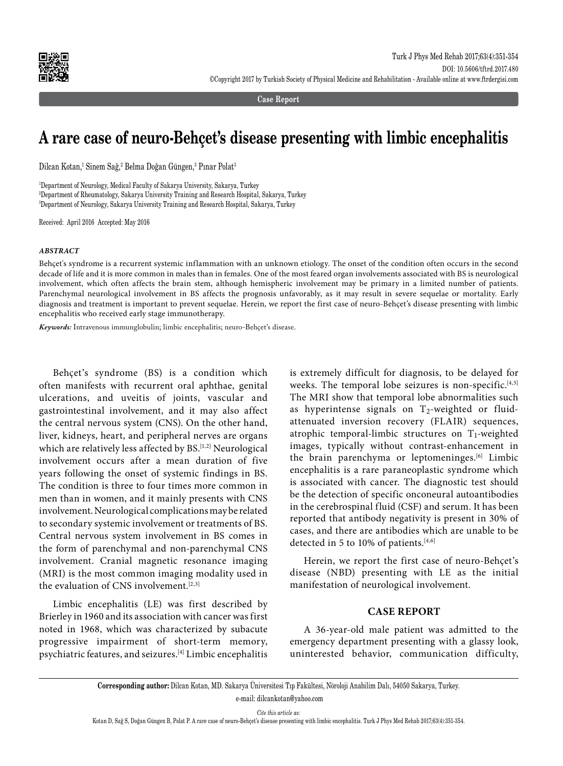

**Case Report**

# **A rare case of neuro-Behçet's disease presenting with limbic encephalitis**

Dilcan Kotan,<sup>1</sup> Sinem Sağ,<sup>2</sup> Belma Doğan Güngen,<sup>3</sup> Pınar Polat<sup>3</sup>

1 Department of Neurology, Medical Faculty of Sakarya University, Sakarya, Turkey 2 Department of Rheumatology, Sakarya University Training and Research Hospital, Sakarya, Turkey 3 Department of Neurology, Sakarya University Training and Research Hospital, Sakarya, Turkey

Received: April 2016 Accepted: May 2016

### *ABSTRACT*

Behçet's syndrome is a recurrent systemic inflammation with an unknown etiology. The onset of the condition often occurs in the second decade of life and it is more common in males than in females. One of the most feared organ involvements associated with BS is neurological involvement, which often affects the brain stem, although hemispheric involvement may be primary in a limited number of patients. Parenchymal neurological involvement in BS affects the prognosis unfavorably, as it may result in severe sequelae or mortality. Early diagnosis and treatment is important to prevent sequelae. Herein, we report the first case of neuro-Behçet's disease presenting with limbic encephalitis who received early stage immunotherapy.

*Keywords:* Intravenous immunglobulin; limbic encephalitis; neuro-Behçet's disease.

Behçet's syndrome (BS) is a condition which often manifests with recurrent oral aphthae, genital ulcerations, and uveitis of joints, vascular and gastrointestinal involvement, and it may also affect the central nervous system (CNS). On the other hand, liver, kidneys, heart, and peripheral nerves are organs which are relatively less affected by BS.<sup>[1,2]</sup> Neurological involvement occurs after a mean duration of five years following the onset of systemic findings in BS. The condition is three to four times more common in men than in women, and it mainly presents with CNS involvement. Neurological complications may be related to secondary systemic involvement or treatments of BS. Central nervous system involvement in BS comes in the form of parenchymal and non-parenchymal CNS involvement. Cranial magnetic resonance imaging (MRI) is the most common imaging modality used in the evaluation of CNS involvement.<sup>[2,3]</sup>

Limbic encephalitis (LE) was first described by Brierley in 1960 and its association with cancer was first noted in 1968, which was characterized by subacute progressive impairment of short-term memory, psychiatric features, and seizures.[4] Limbic encephalitis

is extremely difficult for diagnosis, to be delayed for weeks. The temporal lobe seizures is non-specific.<sup>[4,5]</sup> The MRI show that temporal lobe abnormalities such as hyperintense signals on  $T_2$ -weighted or fluidattenuated inversion recovery (FLAIR) sequences, atrophic temporal-limbic structures on  $T_1$ -weighted images, typically without contrast-enhancement in the brain parenchyma or leptomeninges.<sup>[6]</sup> Limbic encephalitis is a rare paraneoplastic syndrome which is associated with cancer. The diagnostic test should be the detection of specific onconeural autoantibodies in the cerebrospinal fluid (CSF) and serum. It has been reported that antibody negativity is present in 30% of cases, and there are antibodies which are unable to be detected in 5 to 10% of patients.<sup>[4,6]</sup>

Herein, we report the first case of neuro-Behçet's disease (NBD) presenting with LE as the initial manifestation of neurological involvement.

## **CASE REPORT**

A 36-year-old male patient was admitted to the emergency department presenting with a glassy look, uninterested behavior, communication difficulty,

**Corresponding author:** Dilcan Kotan, MD. Sakarya Üniversitesi Tıp Fakültesi, Nöroloji Anabilim Dalı, 54050 Sakarya, Turkey. e-mail: dilcankotan@yahoo.com

*Cite this article as:*

Kotan D, Sağ S, Doğan Güngen B, Polat P. A rare case of neuro-Behçet's disease presenting with limbic encephalitis. Turk J Phys Med Rehab 2017;63(4):351-354.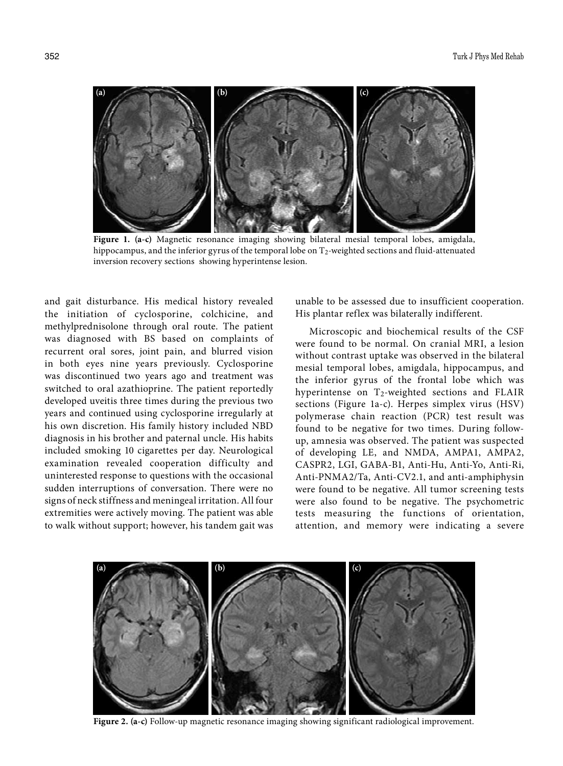

**Figure 1. (a-c)** Magnetic resonance imaging showing bilateral mesial temporal lobes, amigdala, hippocampus, and the inferior gyrus of the temporal lobe on T<sub>2</sub>-weighted sections and fluid-attenuated inversion recovery sections showing hyperintense lesion.

and gait disturbance. His medical history revealed the initiation of cyclosporine, colchicine, and methylprednisolone through oral route. The patient was diagnosed with BS based on complaints of recurrent oral sores, joint pain, and blurred vision in both eyes nine years previously. Cyclosporine was discontinued two years ago and treatment was switched to oral azathioprine. The patient reportedly developed uveitis three times during the previous two years and continued using cyclosporine irregularly at his own discretion. His family history included NBD diagnosis in his brother and paternal uncle. His habits included smoking 10 cigarettes per day. Neurological examination revealed cooperation difficulty and uninterested response to questions with the occasional sudden interruptions of conversation. There were no signs of neck stiffness and meningeal irritation. All four extremities were actively moving. The patient was able to walk without support; however, his tandem gait was unable to be assessed due to insufficient cooperation. His plantar reflex was bilaterally indifferent.

Microscopic and biochemical results of the CSF were found to be normal. On cranial MRI, a lesion without contrast uptake was observed in the bilateral mesial temporal lobes, amigdala, hippocampus, and the inferior gyrus of the frontal lobe which was hyperintense on T<sub>2</sub>-weighted sections and FLAIR sections (Figure 1a-c). Herpes simplex virus (HSV) polymerase chain reaction (PCR) test result was found to be negative for two times. During followup, amnesia was observed. The patient was suspected of developing LE, and NMDA, AMPA1, AMPA2, CASPR2, LGI, GABA-B1, Anti-Hu, Anti-Yo, Anti-Ri, Anti-PNMA2/Ta, Anti-CV2.1, and anti-amphiphysin were found to be negative. All tumor screening tests were also found to be negative. The psychometric tests measuring the functions of orientation, attention, and memory were indicating a severe



**Figure 2. (a-c)** Follow-up magnetic resonance imaging showing significant radiological improvement.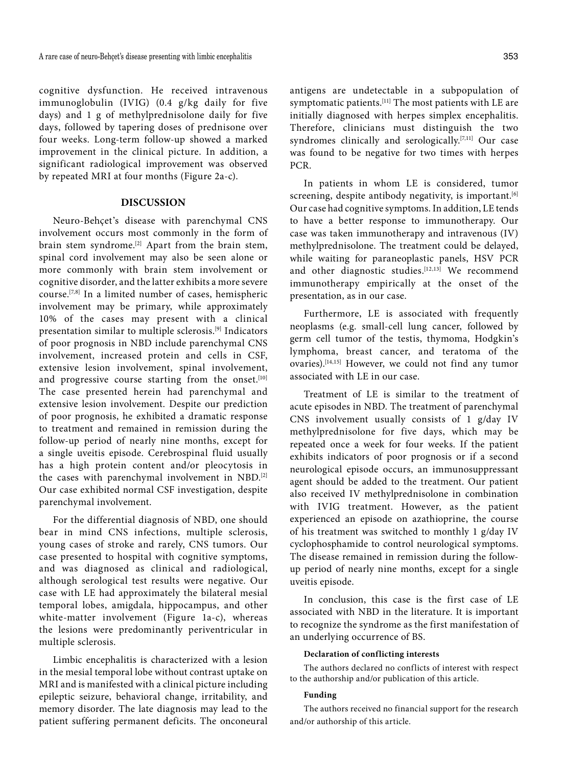cognitive dysfunction. He received intravenous immunoglobulin (IVIG) (0.4 g/kg daily for five days) and 1 g of methylprednisolone daily for five days, followed by tapering doses of prednisone over four weeks. Long-term follow-up showed a marked improvement in the clinical picture. In addition, a significant radiological improvement was observed by repeated MRI at four months (Figure 2a-c).

## **DISCUSSION**

Neuro-Behçet's disease with parenchymal CNS involvement occurs most commonly in the form of brain stem syndrome.<sup>[2]</sup> Apart from the brain stem, spinal cord involvement may also be seen alone or more commonly with brain stem involvement or cognitive disorder, and the latter exhibits a more severe course.[7,8] In a limited number of cases, hemispheric involvement may be primary, while approximately 10% of the cases may present with a clinical presentation similar to multiple sclerosis.[9] Indicators of poor prognosis in NBD include parenchymal CNS involvement, increased protein and cells in CSF, extensive lesion involvement, spinal involvement, and progressive course starting from the onset.<sup>[10]</sup> The case presented herein had parenchymal and extensive lesion involvement. Despite our prediction of poor prognosis, he exhibited a dramatic response to treatment and remained in remission during the follow-up period of nearly nine months, except for a single uveitis episode. Cerebrospinal fluid usually has a high protein content and/or pleocytosis in the cases with parenchymal involvement in NBD.[2] Our case exhibited normal CSF investigation, despite parenchymal involvement.

For the differential diagnosis of NBD, one should bear in mind CNS infections, multiple sclerosis, young cases of stroke and rarely, CNS tumors. Our case presented to hospital with cognitive symptoms, and was diagnosed as clinical and radiological, although serological test results were negative. Our case with LE had approximately the bilateral mesial temporal lobes, amigdala, hippocampus, and other white-matter involvement (Figure 1a-c), whereas the lesions were predominantly periventricular in multiple sclerosis.

Limbic encephalitis is characterized with a lesion in the mesial temporal lobe without contrast uptake on MRI and is manifested with a clinical picture including epileptic seizure, behavioral change, irritability, and memory disorder. The late diagnosis may lead to the patient suffering permanent deficits. The onconeural

antigens are undetectable in a subpopulation of symptomatic patients.[11] The most patients with LE are initially diagnosed with herpes simplex encephalitis. Therefore, clinicians must distinguish the two syndromes clinically and serologically.<sup>[7,11]</sup> Our case was found to be negative for two times with herpes PCR.

In patients in whom LE is considered, tumor screening, despite antibody negativity, is important.<sup>[6]</sup> Our case had cognitive symptoms. In addition, LE tends to have a better response to immunotherapy. Our case was taken immunotherapy and intravenous (IV) methylprednisolone. The treatment could be delayed, while waiting for paraneoplastic panels, HSV PCR and other diagnostic studies.<sup>[12,13]</sup> We recommend immunotherapy empirically at the onset of the presentation, as in our case.

Furthermore, LE is associated with frequently neoplasms (e.g. small-cell lung cancer, followed by germ cell tumor of the testis, thymoma, Hodgkin's lymphoma, breast cancer, and teratoma of the ovaries).[14,15] However, we could not find any tumor associated with LE in our case.

Treatment of LE is similar to the treatment of acute episodes in NBD. The treatment of parenchymal CNS involvement usually consists of 1 g/day IV methylprednisolone for five days, which may be repeated once a week for four weeks. If the patient exhibits indicators of poor prognosis or if a second neurological episode occurs, an immunosuppressant agent should be added to the treatment. Our patient also received IV methylprednisolone in combination with IVIG treatment. However, as the patient experienced an episode on azathioprine, the course of his treatment was switched to monthly 1 g/day IV cyclophosphamide to control neurological symptoms. The disease remained in remission during the followup period of nearly nine months, except for a single uveitis episode.

In conclusion, this case is the first case of LE associated with NBD in the literature. It is important to recognize the syndrome as the first manifestation of an underlying occurrence of BS.

### **Declaration of conflicting interests**

The authors declared no conflicts of interest with respect to the authorship and/or publication of this article.

#### **Funding**

The authors received no financial support for the research and/or authorship of this article.